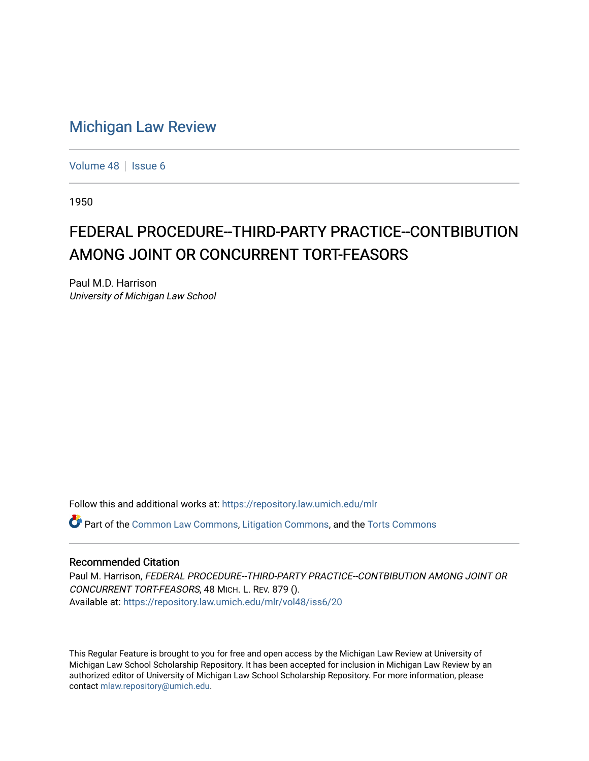## [Michigan Law Review](https://repository.law.umich.edu/mlr)

[Volume 48](https://repository.law.umich.edu/mlr/vol48) | [Issue 6](https://repository.law.umich.edu/mlr/vol48/iss6)

1950

## FEDERAL PROCEDURE--THIRD-PARTY PRACTICE--CONTBIBUTION AMONG JOINT OR CONCURRENT TORT-FEASORS

Paul M.D. Harrison University of Michigan Law School

Follow this and additional works at: [https://repository.law.umich.edu/mlr](https://repository.law.umich.edu/mlr?utm_source=repository.law.umich.edu%2Fmlr%2Fvol48%2Fiss6%2F20&utm_medium=PDF&utm_campaign=PDFCoverPages) 

Part of the [Common Law Commons,](http://network.bepress.com/hgg/discipline/1120?utm_source=repository.law.umich.edu%2Fmlr%2Fvol48%2Fiss6%2F20&utm_medium=PDF&utm_campaign=PDFCoverPages) [Litigation Commons](http://network.bepress.com/hgg/discipline/910?utm_source=repository.law.umich.edu%2Fmlr%2Fvol48%2Fiss6%2F20&utm_medium=PDF&utm_campaign=PDFCoverPages), and the [Torts Commons](http://network.bepress.com/hgg/discipline/913?utm_source=repository.law.umich.edu%2Fmlr%2Fvol48%2Fiss6%2F20&utm_medium=PDF&utm_campaign=PDFCoverPages) 

## Recommended Citation

Paul M. Harrison, FEDERAL PROCEDURE--THIRD-PARTY PRACTICE--CONTBIBUTION AMONG JOINT OR CONCURRENT TORT-FEASORS, 48 MICH. L. REV. 879 (). Available at: [https://repository.law.umich.edu/mlr/vol48/iss6/20](https://repository.law.umich.edu/mlr/vol48/iss6/20?utm_source=repository.law.umich.edu%2Fmlr%2Fvol48%2Fiss6%2F20&utm_medium=PDF&utm_campaign=PDFCoverPages) 

This Regular Feature is brought to you for free and open access by the Michigan Law Review at University of Michigan Law School Scholarship Repository. It has been accepted for inclusion in Michigan Law Review by an authorized editor of University of Michigan Law School Scholarship Repository. For more information, please contact [mlaw.repository@umich.edu](mailto:mlaw.repository@umich.edu).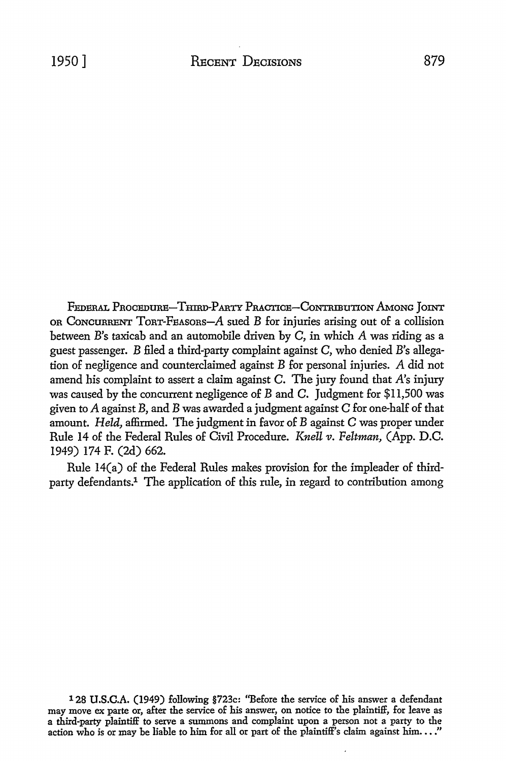FEDERAL PROCEDURE-THIRD-PARTY PRACTICE-CONTRIBUTION AMONG JOINT OR CONCURRENT  $T$ ORT-FEASORS- $A$  sued  $B$  for injuries arising out of a collision between B's taxicab and an automobile driven by C, in which A was riding as a

guest passenger. B filed a third-party complaint against C, who denied B's allegation of negligence and counterclaimed against B for personal injuries. A did not amend his complaint to assert a claim against C. The jury found that *A's* injury was caused by the concurrent negligence of B and C. Judgment for \$11,500 was given *to* A against B, and B was awarded a judgment against C for one-half of that amount. *Held,* affirmed. The judgment in favor of *B* against C was proper under Rule 14 of the Federal Rules of Civil Procedure. *Knell v. Feltman,* (App. D.C. 1949) 174 F. (2d) 662.

Rule 14(a) of the Federal Rules makes provision for the impleader of thirdparty defendants.1 The application of this rule, in regard to contribution among

128 **U.S.C.A.** (1949) following §723c: ''Before the service of his answer a defendant may move ex parte or, after the service of his answer, on notice to the plaintiff, for leave as a third-party plaintiff to serve a summons and complaint upon a person not a party to the action who is or may be liable to him for all or part of the plaintiff's claim against him...."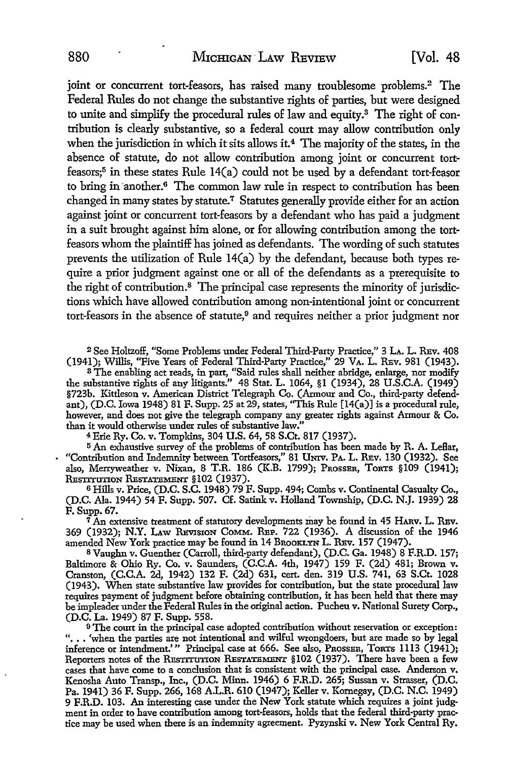joint or concurrent tort-feasors, has raised many troublesome problems.<sup>2</sup> The Federal Rules do not change the substantive rights of parties, but were designed to unite and simplify the procedural rules of law and equity.3 The right of contribution is clearly substantive, so a federal court may allow contribution only when the jurisdiction in which it sits allows it.<sup>4</sup> The majority of the states, in the absence of statute, do not allow contribution among joint or concurrent tortfeasors;5 in these states Rule 14(a) could not be used by a defendant tort-feasor to bring in ·another.6 The common law rule in respect to contribution has been changed in many states by statute.7 Statutes generally provide either for an action against joint or concurrent tort-feasors by a defendant who has paid a judgment in a suit brought against him alone, or for allowing contribution among the tortfeasors whom the plaintiff has joined as defendants. The wording of such statutes prevents the utilization of Rule 14(a) by the defendant, because both types require a prior judgment against one or all of the defendants as a prerequisite to the right of contribution.8 The principal case represents the minority of jurisdictions which have allowed contribution among non-intentional joint or concurrent tort-feasors in the absence of statute,<sup>9</sup> and requires neither a prior judgment nor

<sup>2</sup>See Holtzoff, "Some Problems under Federal Third-Party Practice,'' 3 LA. L. REv. 408 (1941); Willis, "Five Years of Federal Third-Party Practice," 29 VA. L. REv. 981 (1943).

<sup>3</sup>The enabling act reads, in part, "Said rules shall neither abridge, enlarge, nor modify the substantive rights of any litigants." 48 Stat. L. 1064, §1 (1934), 28 U.S.C.A. (1949) §723b. Kittleson v. American District Telegraph Co. (Armour and Co., third-party defendant), (D.C. Iowa 1948) 81 F. Supp. 25 at 29, states, "This Rule [l 4(a)] is a procedural rule, however, and does not give the telegraph company any greater rights against Armour & Co. than it would otherwise under rules of substantive law."

<sup>4</sup>Erie Ry. Co. v. Tompkins, 304 U.S. 64, 58 S.Ct. 817 (1937).

<sup>5</sup> An exhaustive survey of the problems of contribution has been made by R. A. Leflar, "Contribution and Indemnity between Tortfeasors," 81 UNIV. PA. L. REv. 130 (1932). See also, Merryweather v. Nixan, 8 T.R. 186 (K.B. 1799); PROSSER, ToRTS §109 (1941); RESTITUTION RESTATEMENT §102 (1937).

<sup>6</sup>Hills v. Price, (D.C. S.C. 1948) 79 F. Supp. 494; Combs v. Continental Casualty Co., (D.C. Ala. 1944) 54 F. Supp. 507. Cf. Satink v. Holland Township, (D.C. N.J. 1939) 28 F.Supp.67.

 $\bar{7}$  An extensive treatment of statutory developments may be found in 45 HARV. L. REV. 369 (1932); N.Y. LAw REVISION CoMM. REP. 722 (1936). A discussion of the 1946 amended New York practice may be found in 14 BROOKLYN L. REv. 157 (1947).

s Vaughn v. Guenther (Carroll, third-party defendant), (D.C. Ga. 1948) 8 F.R.D. 157; Baltimore & Ohio Ry. Co. v. Saunders, (C.C.A. 4th, 1947) 159 F. (2d) 481; Brown v. Cranston, (C.C.A. 2d, 1942) 132 F. (2d) 631, cert. den. 319 U.S. 741, 63 S.Ct. 1028 (1943). When state substantive law provides for contribution, but the state procedural law requires payment of judgment before obtaining contribution, it has been held that there may be impleader under the Federal Rules in the original action. Pucheu v. National Surety Corp., (D.C. La. 1949) 87 F. Supp. 558.

<sup>9</sup>The court in the principal case adopted contribution without reservation or exception: "... 'when the parties are not intentional and wilful wrongdoers, but are made so by legal inference or intendment.'" Principal case at 666. See also, PROSSER, TORTS 1113 (1941); Reporters notes of the RESTITUTION RESTATEMENT §102 (1937). There have been a few cases that have come to a conclusion that is consistent with the principal case. Anderson v. Kenosha Auto Transp., Inc., (D.C. Minn. 1946) 6 F.R.D. 265; Sussan v. Strasser, (D.C. Pa. 1941) 36 F. Supp. 266, 168 *AL.R.* 610 (1947); Keller v. Kornegay, (D.C. N.C. 1949) 9 F.R.D. 103. An interesting case under the New York statute which requires a joint judgment in order to have contribution among tort-feasors, holds that the federal third-party practice may be used when there is an indemnity agreement. Pyzynski v. New York Central Ry.